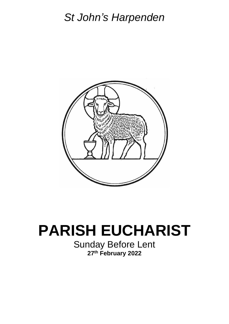# *St John's Harpenden*



# **PARISH EUCHARIST**

Sunday Before Lent **27th February 2022**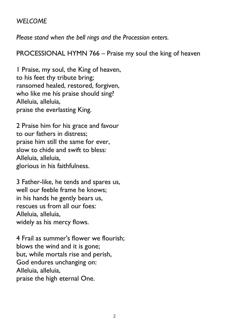#### *WELCOME*

*Please stand when the bell rings and the Procession enters.*

PROCESSIONAL HYMN 766 – Praise my soul the king of heaven

1 Praise, my soul, the King of heaven, to his feet thy tribute bring; ransomed healed, restored, forgiven, who like me his praise should sing? Alleluia, alleluia, praise the everlasting King.

2 Praise him for his grace and favour to our fathers in distress; praise him still the same for ever, slow to chide and swift to bless: Alleluia, alleluia, glorious in his faithfulness.

3 Father-like, he tends and spares us, well our feeble frame he knows; in his hands he gently bears us, rescues us from all our foes: Alleluia, alleluia, widely as his mercy flows.

4 Frail as summer's flower we flourish; blows the wind and it is gone; but, while mortals rise and perish, God endures unchanging on: Alleluia, alleluia, praise the high eternal One.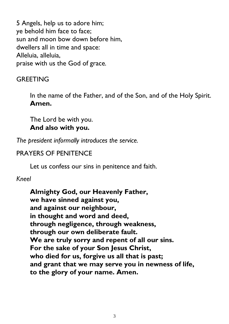5 Angels, help us to adore him; ye behold him face to face; sun and moon bow down before him, dwellers all in time and space: Alleluia, alleluia, praise with us the God of grace*.*

# **GREETING**

In the name of the Father, and of the Son, and of the Holy Spirit. **Amen.**

The Lord be with you. **And also with you.**

*The president informally introduces the service.*

# PRAYERS OF PENITENCE

Let us confess our sins in penitence and faith.

# *Kneel*

**Almighty God, our Heavenly Father, we have sinned against you, and against our neighbour, in thought and word and deed, through negligence, through weakness, through our own deliberate fault. We are truly sorry and repent of all our sins. For the sake of your Son Jesus Christ, who died for us, forgive us all that is past; and grant that we may serve you in newness of life, to the glory of your name. Amen.**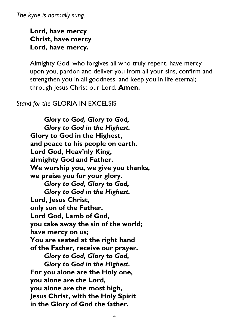*The kyrie is normally sung.*

**Lord, have mercy Christ, have mercy Lord, have mercy.**

Almighty God, who forgives all who truly repent, have mercy upon you, pardon and deliver you from all your sins, confirm and strengthen you in all goodness, and keep you in life eternal; through Jesus Christ our Lord. **Amen.**

#### *Stand for the* GLORIA IN EXCELSIS

*Glory to God, Glory to God, Glory to God in the Highest.* **Glory to God in the Highest, and peace to his people on earth. Lord God, Heav'nly King, almighty God and Father. We worship you, we give you thanks, we praise you for your glory.** *Glory to God, Glory to God, Glory to God in the Highest.* **Lord, Jesus Christ, only son of the Father. Lord God, Lamb of God, you take away the sin of the world; have mercy on us; You are seated at the right hand of the Father, receive our prayer.** *Glory to God, Glory to God, Glory to God in the Highest.* **For you alone are the Holy one, you alone are the Lord, you alone are the most high, Jesus Christ, with the Holy Spirit in the Glory of God the father.**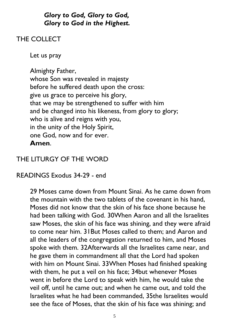# *Glory to God, Glory to God, Glory to God in the Highest.*

# THE COLLECT

Let us pray

Almighty Father, whose Son was revealed in majesty before he suffered death upon the cross: give us grace to perceive his glory, that we may be strengthened to suffer with him and be changed into his likeness, from glory to glory; who is alive and reigns with you, in the unity of the Holy Spirit, one God, now and for ever. **Amen**.

# THE LITURGY OF THE WORD

READINGS Exodus 34-29 - end

29 Moses came down from Mount Sinai. As he came down from the mountain with the two tablets of the covenant in his hand, Moses did not know that the skin of his face shone because he had been talking with God. 30When Aaron and all the Israelites saw Moses, the skin of his face was shining, and they were afraid to come near him. 31But Moses called to them; and Aaron and all the leaders of the congregation returned to him, and Moses spoke with them. 32Afterwards all the Israelites came near, and he gave them in commandment all that the Lord had spoken with him on Mount Sinai. 33When Moses had finished speaking with them, he put a veil on his face; 34but whenever Moses went in before the Lord to speak with him, he would take the veil off, until he came out; and when he came out, and told the Israelites what he had been commanded, 35the Israelites would see the face of Moses, that the skin of his face was shining; and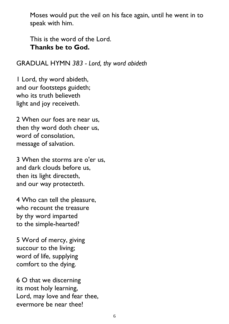Moses would put the veil on his face again, until he went in to speak with him.

This is the word of the Lord. **Thanks be to God.**

#### GRADUAL HYMN *383 - Lord, thy word abideth*

1 Lord, thy word abideth, and our footsteps guideth; who its truth believeth light and joy receiveth.

2 When our foes are near us, then thy word doth cheer us, word of consolation, message of salvation.

3 When the storms are o'er us, and dark clouds before us, then its light directeth, and our way protecteth.

4 Who can tell the pleasure, who recount the treasure by thy word imparted to the simple-hearted?

5 Word of mercy, giving succour to the living; word of life, supplying comfort to the dying.

6 O that we discerning its most holy learning, Lord, may love and fear thee, evermore be near thee!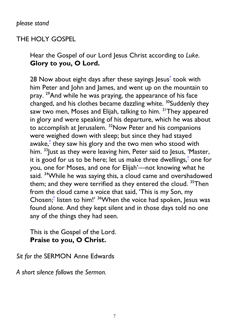# THE HOLY GOSPEL

Hear the Gospel of our Lord Jesus Christ according to *Luke*. **Glory to you, O Lord.**

28 Now about eight days after these sayings Jesus<sup>[\\*](javascript:void(0);)</sup> took with him Peter and John and James, and went up on the mountain to pray. <sup>29</sup>And while he was praying, the appearance of his face changed, and his clothes became dazzling white. <sup>30</sup>Suddenly they saw two men, Moses and Elijah, talking to him. <sup>31</sup>They appeared in glory and were speaking of his departure, which he was about to accomplish at Jerusalem. <sup>32</sup>Now Peter and his companions were weighed down with sleep; but since they had stayed awake,[\\*](javascript:void(0);) they saw his glory and the two men who stood with him.  $33$  Just as they were leaving him, Peter said to Jesus, 'Master, it is good for us to be here; let us make three dwellings,<sup>[\\*](javascript:void(0);)</sup> one for you, one for Moses, and one for Elijah'—not knowing what he said. <sup>34</sup>While he was saying this, a cloud came and overshadowed them; and they were terrified as they entered the cloud.  $35$ Then from the cloud came a voice that said, 'This is my Son, my Chosen;<sup>[\\*](javascript:void(0);)</sup> listen to him!' <sup>36</sup>When the voice had spoken, Jesus was found alone. And they kept silent and in those days told no one any of the things they had seen.

This is the Gospel of the Lord. **Praise to you, O Christ.**

*Sit for the* SERMON Anne Edwards

*A short silence follows the Sermon.*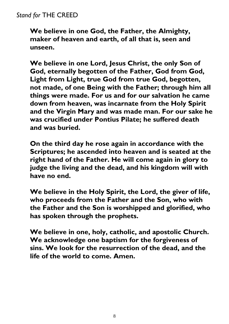# *Stand for* THE CREED

**We believe in one God, the Father, the Almighty, maker of heaven and earth, of all that is, seen and unseen.** 

**We believe in one Lord, Jesus Christ, the only Son of God, eternally begotten of the Father, God from God, Light from Light, true God from true God, begotten, not made, of one Being with the Father; through him all things were made. For us and for our salvation he came down from heaven, was incarnate from the Holy Spirit and the Virgin Mary and was made man. For our sake he was crucified under Pontius Pilate; he suffered death and was buried.** 

**On the third day he rose again in accordance with the Scriptures; he ascended into heaven and is seated at the right hand of the Father. He will come again in glory to judge the living and the dead, and his kingdom will with have no end.** 

**We believe in the Holy Spirit, the Lord, the giver of life, who proceeds from the Father and the Son, who with the Father and the Son is worshipped and glorified, who has spoken through the prophets.** 

**We believe in one, holy, catholic, and apostolic Church. We acknowledge one baptism for the forgiveness of sins. We look for the resurrection of the dead, and the life of the world to come. Amen.**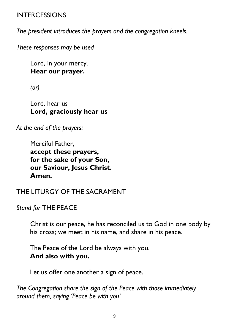# INTERCESSIONS

*The president introduces the prayers and the congregation kneels.*

*These responses may be used*

Lord, in your mercy. **Hear our prayer.**

*(or)*

Lord, hear us **Lord, graciously hear us**

*At the end of the prayers:*

Merciful Father, **accept these prayers, for the sake of your Son, our Saviour, Jesus Christ. Amen.**

# THE LITURGY OF THE SACRAMENT

*Stand for* THE PEACE

Christ is our peace, he has reconciled us to God in one body by his cross; we meet in his name, and share in his peace.

The Peace of the Lord be always with you. **And also with you.**

Let us offer one another a sign of peace.

*The Congregation share the sign of the Peace with those immediately around them, saying 'Peace be with you'.*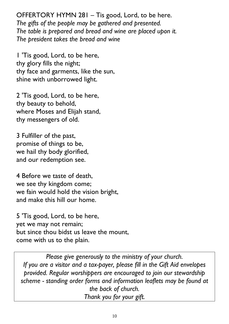OFFERTORY HYMN 281 – Tis good, Lord, to be here. *The gifts of the people may be gathered and presented. The table is prepared and bread and wine are placed upon it. The president takes the bread and wine*

1 'Tis good, Lord, to be here, thy glory fills the night; thy face and garments, like the sun, shine with unborrowed light.

2 'Tis good, Lord, to be here, thy beauty to behold, where Moses and Elijah stand, thy messengers of old.

3 Fulfiller of the past, promise of things to be, we hail thy body glorified, and our redemption see.

4 Before we taste of death, we see thy kingdom come; we fain would hold the vision bright, and make this hill our home.

5 'Tis good, Lord, to be here, yet we may not remain; but since thou bidst us leave the mount, come with us to the plain.

*Please give generously to the ministry of your church. If you are a visitor and a tax-payer, please fill in the Gift Aid envelopes provided. Regular worshippers are encouraged to join our stewardship scheme - standing order forms and information leaflets may be found at the back of church. Thank you for your gift.*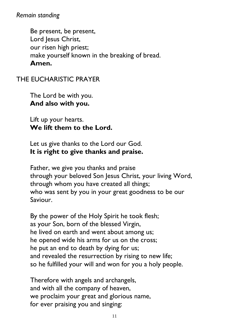*Remain standing*

Be present, be present, Lord Jesus Christ, our risen high priest; make yourself known in the breaking of bread. **Amen.**

THE EUCHARISTIC PRAYER

The Lord be with you. **And also with you.**

Lift up your hearts. **We lift them to the Lord.**

Let us give thanks to the Lord our God. **It is right to give thanks and praise.**

Father, we give you thanks and praise through your beloved Son Jesus Christ, your living Word, through whom you have created all things; who was sent by you in your great goodness to be our Saviour.

By the power of the Holy Spirit he took flesh; as your Son, born of the blessed Virgin, he lived on earth and went about among us; he opened wide his arms for us on the cross; he put an end to death by dying for us; and revealed the resurrection by rising to new life; so he fulfilled your will and won for you a holy people.

Therefore with angels and archangels, and with all the company of heaven, we proclaim your great and glorious name, for ever praising you and singing: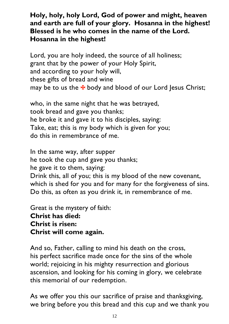# **Holy, holy, holy Lord, God of power and might, heaven and earth are full of your glory. Hosanna in the highest! Blessed is he who comes in the name of the Lord. Hosanna in the highest!**

Lord, you are holy indeed, the source of all holiness; grant that by the power of your Holy Spirit, and according to your holy will, these gifts of bread and wine may be to us the  $\bigstar$  body and blood of our Lord Jesus Christ;

who, in the same night that he was betrayed, took bread and gave you thanks; he broke it and gave it to his disciples, saying: Take, eat; this is my body which is given for you; do this in remembrance of me.

In the same way, after supper he took the cup and gave you thanks; he gave it to them, saying: Drink this, all of you; this is my blood of the new covenant, which is shed for you and for many for the forgiveness of sins. Do this, as often as you drink it, in remembrance of me.

Great is the mystery of faith: **Christ has died: Christ is risen: Christ will come again.** 

And so, Father, calling to mind his death on the cross, his perfect sacrifice made once for the sins of the whole world; rejoicing in his mighty resurrection and glorious ascension, and looking for his coming in glory, we celebrate this memorial of our redemption.

As we offer you this our sacrifice of praise and thanksgiving, we bring before you this bread and this cup and we thank you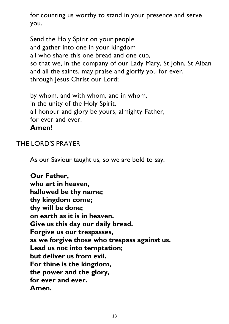for counting us worthy to stand in your presence and serve you.

Send the Holy Spirit on your people and gather into one in your kingdom all who share this one bread and one cup, so that we, in the company of our Lady Mary, St John, St Alban and all the saints, may praise and glorify you for ever, through Jesus Christ our Lord;

by whom, and with whom, and in whom, in the unity of the Holy Spirit, all honour and glory be yours, almighty Father, for ever and ever. **Amen!**

# THE LORD'S PRAYER

As our Saviour taught us, so we are bold to say:

**Our Father, who art in heaven, hallowed be thy name; thy kingdom come; thy will be done; on earth as it is in heaven. Give us this day our daily bread. Forgive us our trespasses, as we forgive those who trespass against us. Lead us not into temptation; but deliver us from evil. For thine is the kingdom, the power and the glory, for ever and ever. Amen.**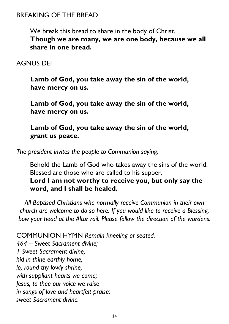# BREAKING OF THE BREAD

We break this bread to share in the body of Christ. **Though we are many, we are one body, because we all share in one bread.**

# AGNUS DEI

**Lamb of God, you take away the sin of the world, have mercy on us.**

**Lamb of God, you take away the sin of the world, have mercy on us.**

**Lamb of God, you take away the sin of the world, grant us peace.**

*The president invites the people to Communion saying:*

Behold the Lamb of God who takes away the sins of the world. Blessed are those who are called to his supper.

**Lord I am not worthy to receive you, but only say the word, and I shall be healed.**

*All Baptised Christians who normally receive Communion in their own church are welcome to do so here. If you would like to receive a Blessing, bow your head at the Altar rail. Please follow the direction of the wardens.*

COMMUNION HYMN *Remain kneeling or seated. 464 – Sweet Sacrament divine; 1 Sweet Sacrament divine, hid in thine earthly home, lo, round thy lowly shrine, with suppliant hearts we come; Jesus, to thee our voice we raise in songs of love and heartfelt praise: sweet Sacrament divine.*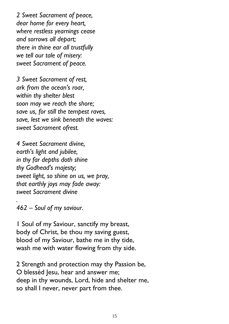*2 Sweet Sacrament of peace, dear home for every heart, where restless yearnings cease and sorrows all depart; there in thine ear all trustfully we tell our tale of misery: sweet Sacrament of peace.*

*3 Sweet Sacrament of rest, ark from the ocean's roar, within thy shelter blest soon may we reach the shore; save us, for still the tempest raves, save, lest we sink beneath the waves: sweet Sacrament ofrest.*

*4 Sweet Sacrament divine, earth's light and jubilee, in thy far depths doth shine thy Godhead's majesty; sweet light, so shine on us, we pray, that earthly joys may fade away: sweet Sacrament divine*

*462 – Soul of my saviour.*

*.*

1 Soul of my Saviour, sanctify my breast, body of Christ, be thou my saving guest, blood of my Saviour, bathe me in thy tide, wash me with water flowing from thy side.

2 Strength and protection may thy Passion be, O blessèd Jesu, hear and answer me; deep in thy wounds, Lord, hide and shelter me, so shall I never, never part from thee.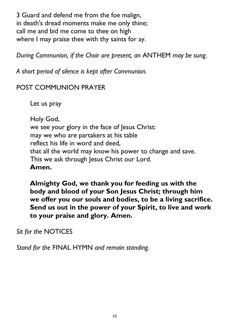3 Guard and defend me from the foe malign, in death's dread moments make me only thine; call me and bid me come to thee on high where I may praise thee with thy saints for ay.

*During Communion, if the Choir are present, an* ANTHEM *may be sung.*

*A short period of silence is kept after Communion.*

# POST COMMUNION PRAYER

Let us pray

Holy God, we see your glory in the face of Jesus Christ: may we who are partakers at his table reflect his life in word and deed, that all the world may know his power to change and save. This we ask through Jesus Christ our Lord. **Amen.**

**Almighty God, we thank you for feeding us with the body and blood of your Son Jesus Christ; through him we offer you our souls and bodies, to be a living sacrifice. Send us out in the power of your Spirit, to live and work to your praise and glory. Amen.**

*Sit for the* NOTICES

*Stand for the* FINAL HYMN *and remain standing.*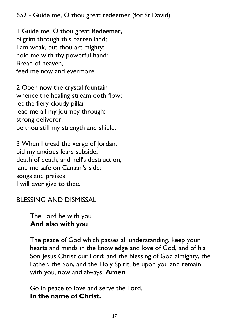652 - Guide me, O thou great redeemer (for St David)

1 Guide me, O thou great Redeemer, pilgrim through this barren land; I am weak, but thou art mighty; hold me with thy powerful hand: Bread of heaven, feed me now and evermore.

2 Open now the crystal fountain whence the healing stream doth flow; let the fiery cloudy pillar lead me all my journey through: strong deliverer, be thou still my strength and shield.

3 When I tread the verge of Jordan, bid my anxious fears subside; death of death, and hell's destruction, land me safe on Canaan's side: songs and praises I will ever give to thee.

BLESSING AND DISMISSAL

The Lord be with you **And also with you**

The peace of God which passes all understanding, keep your hearts and minds in the knowledge and love of God, and of his Son Jesus Christ our Lord; and the blessing of God almighty, the Father, the Son, and the Holy Spirit, be upon you and remain with you, now and always. **Amen**.

Go in peace to love and serve the Lord. **In the name of Christ.**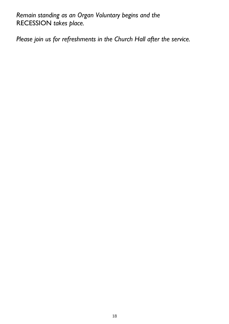*Remain standing as an Organ Voluntary begins and the*  RECESSION *takes place.*

*Please join us for refreshments in the Church Hall after the service.*